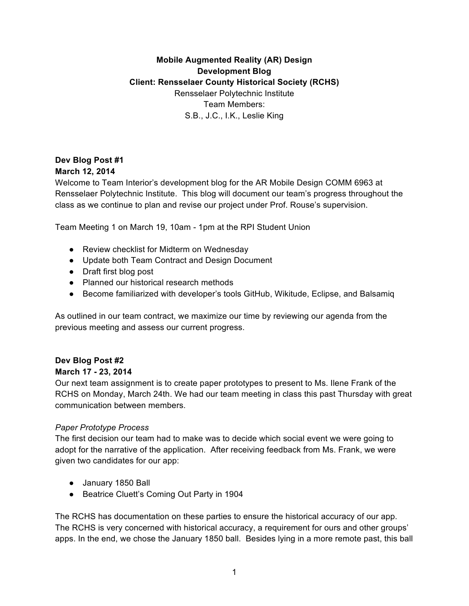# **Mobile Augmented Reality (AR) Design Development Blog Client: Rensselaer County Historical Society (RCHS)** Rensselaer Polytechnic Institute Team Members: S.B., J.C., I.K., Leslie King

#### **Dev Blog Post #1 March 12, 2014**

Welcome to Team Interior's development blog for the AR Mobile Design COMM 6963 at Rensselaer Polytechnic Institute. This blog will document our team's progress throughout the class as we continue to plan and revise our project under Prof. Rouse's supervision.

Team Meeting 1 on March 19, 10am - 1pm at the RPI Student Union

- Review checklist for Midterm on Wednesday
- Update both Team Contract and Design Document
- Draft first blog post
- Planned our historical research methods
- Become familiarized with developer's tools GitHub, Wikitude, Eclipse, and Balsamiq

As outlined in our team contract, we maximize our time by reviewing our agenda from the previous meeting and assess our current progress.

## **Dev Blog Post #2**

#### **March 17 - 23, 2014**

Our next team assignment is to create paper prototypes to present to Ms. Ilene Frank of the RCHS on Monday, March 24th. We had our team meeting in class this past Thursday with great communication between members.

#### *Paper Prototype Process*

The first decision our team had to make was to decide which social event we were going to adopt for the narrative of the application. After receiving feedback from Ms. Frank, we were given two candidates for our app:

- January 1850 Ball
- Beatrice Cluett's Coming Out Party in 1904

The RCHS has documentation on these parties to ensure the historical accuracy of our app. The RCHS is very concerned with historical accuracy, a requirement for ours and other groups' apps. In the end, we chose the January 1850 ball. Besides lying in a more remote past, this ball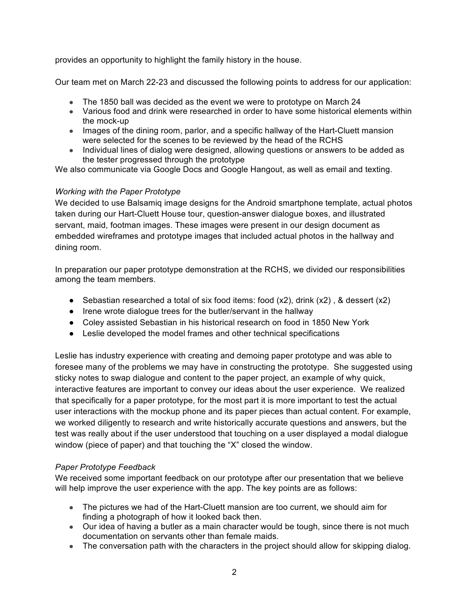provides an opportunity to highlight the family history in the house.

Our team met on March 22-23 and discussed the following points to address for our application:

- The 1850 ball was decided as the event we were to prototype on March 24
- Various food and drink were researched in order to have some historical elements within the mock-up
- Images of the dining room, parlor, and a specific hallway of the Hart-Cluett mansion were selected for the scenes to be reviewed by the head of the RCHS
- Individual lines of dialog were designed, allowing questions or answers to be added as the tester progressed through the prototype

We also communicate via Google Docs and Google Hangout, as well as email and texting.

## *Working with the Paper Prototype*

We decided to use Balsamiq image designs for the Android smartphone template, actual photos taken during our Hart-Cluett House tour, question-answer dialogue boxes, and illustrated servant, maid, footman images. These images were present in our design document as embedded wireframes and prototype images that included actual photos in the hallway and dining room.

In preparation our paper prototype demonstration at the RCHS, we divided our responsibilities among the team members.

- Sebastian researched a total of six food items: food  $(x2)$ , drink  $(x2)$ , & dessert  $(x2)$
- Irene wrote dialogue trees for the butler/servant in the hallway
- Coley assisted Sebastian in his historical research on food in 1850 New York
- Leslie developed the model frames and other technical specifications

Leslie has industry experience with creating and demoing paper prototype and was able to foresee many of the problems we may have in constructing the prototype. She suggested using sticky notes to swap dialogue and content to the paper project, an example of why quick, interactive features are important to convey our ideas about the user experience. We realized that specifically for a paper prototype, for the most part it is more important to test the actual user interactions with the mockup phone and its paper pieces than actual content. For example, we worked diligently to research and write historically accurate questions and answers, but the test was really about if the user understood that touching on a user displayed a modal dialogue window (piece of paper) and that touching the "X" closed the window.

#### *Paper Prototype Feedback*

We received some important feedback on our prototype after our presentation that we believe will help improve the user experience with the app. The key points are as follows:

- The pictures we had of the Hart-Cluett mansion are too current, we should aim for finding a photograph of how it looked back then.
- Our idea of having a butler as a main character would be tough, since there is not much documentation on servants other than female maids.
- The conversation path with the characters in the project should allow for skipping dialog.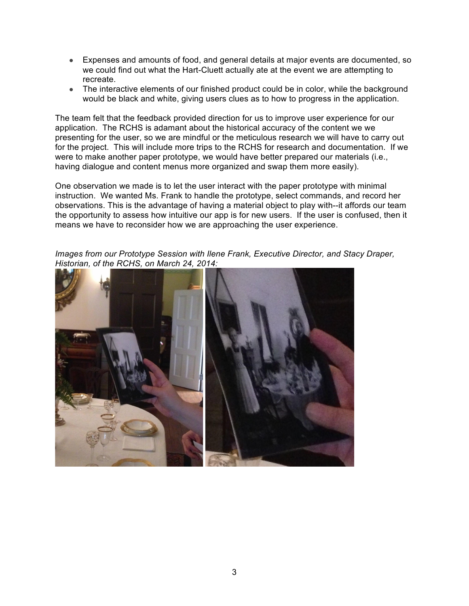- Expenses and amounts of food, and general details at major events are documented, so we could find out what the Hart-Cluett actually ate at the event we are attempting to recreate.
- The interactive elements of our finished product could be in color, while the background would be black and white, giving users clues as to how to progress in the application.

The team felt that the feedback provided direction for us to improve user experience for our application. The RCHS is adamant about the historical accuracy of the content we we presenting for the user, so we are mindful or the meticulous research we will have to carry out for the project. This will include more trips to the RCHS for research and documentation. If we were to make another paper prototype, we would have better prepared our materials (i.e., having dialogue and content menus more organized and swap them more easily).

One observation we made is to let the user interact with the paper prototype with minimal instruction. We wanted Ms. Frank to handle the prototype, select commands, and record her observations. This is the advantage of having a material object to play with--it affords our team the opportunity to assess how intuitive our app is for new users. If the user is confused, then it means we have to reconsider how we are approaching the user experience.

*Images from our Prototype Session with Ilene Frank, Executive Director, and Stacy Draper, Historian, of the RCHS, on March 24, 2014:*

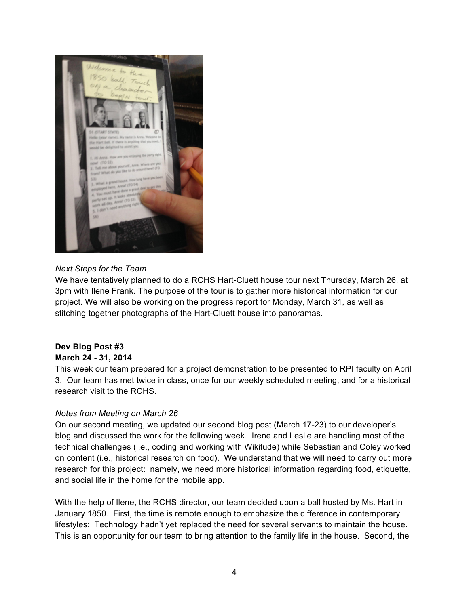

#### *Next Steps for the Team*

We have tentatively planned to do a RCHS Hart-Cluett house tour next Thursday, March 26, at 3pm with Ilene Frank. The purpose of the tour is to gather more historical information for our project. We will also be working on the progress report for Monday, March 31, as well as stitching together photographs of the Hart-Cluett house into panoramas.

#### **Dev Blog Post #3 March 24 - 31, 2014**

This week our team prepared for a project demonstration to be presented to RPI faculty on April 3. Our team has met twice in class, once for our weekly scheduled meeting, and for a historical research visit to the RCHS.

#### *Notes from Meeting on March 26*

On our second meeting, we updated our second blog post (March 17-23) to our developer's blog and discussed the work for the following week. Irene and Leslie are handling most of the technical challenges (i.e., coding and working with Wikitude) while Sebastian and Coley worked on content (i.e., historical research on food). We understand that we will need to carry out more research for this project: namely, we need more historical information regarding food, etiquette, and social life in the home for the mobile app.

With the help of Ilene, the RCHS director, our team decided upon a ball hosted by Ms. Hart in January 1850. First, the time is remote enough to emphasize the difference in contemporary lifestyles: Technology hadn't yet replaced the need for several servants to maintain the house. This is an opportunity for our team to bring attention to the family life in the house. Second, the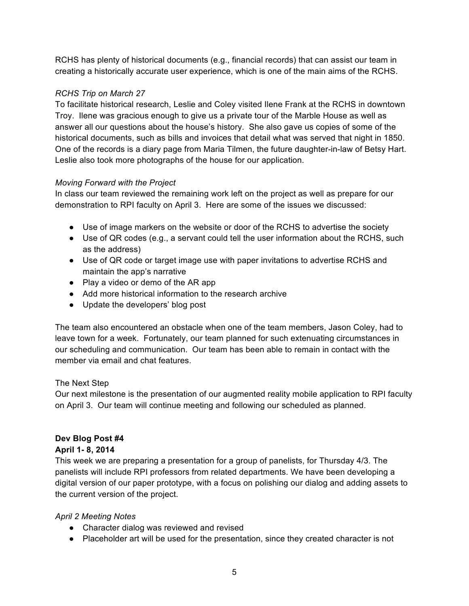RCHS has plenty of historical documents (e.g., financial records) that can assist our team in creating a historically accurate user experience, which is one of the main aims of the RCHS.

## *RCHS Trip on March 27*

To facilitate historical research, Leslie and Coley visited Ilene Frank at the RCHS in downtown Troy. Ilene was gracious enough to give us a private tour of the Marble House as well as answer all our questions about the house's history. She also gave us copies of some of the historical documents, such as bills and invoices that detail what was served that night in 1850. One of the records is a diary page from Maria Tilmen, the future daughter-in-law of Betsy Hart. Leslie also took more photographs of the house for our application.

#### *Moving Forward with the Project*

In class our team reviewed the remaining work left on the project as well as prepare for our demonstration to RPI faculty on April 3. Here are some of the issues we discussed:

- Use of image markers on the website or door of the RCHS to advertise the society
- Use of QR codes (e.g., a servant could tell the user information about the RCHS, such as the address)
- Use of QR code or target image use with paper invitations to advertise RCHS and maintain the app's narrative
- Play a video or demo of the AR app
- Add more historical information to the research archive
- Update the developers' blog post

The team also encountered an obstacle when one of the team members, Jason Coley, had to leave town for a week. Fortunately, our team planned for such extenuating circumstances in our scheduling and communication. Our team has been able to remain in contact with the member via email and chat features.

#### The Next Step

Our next milestone is the presentation of our augmented reality mobile application to RPI faculty on April 3. Our team will continue meeting and following our scheduled as planned.

## **Dev Blog Post #4**

#### **April 1- 8, 2014**

This week we are preparing a presentation for a group of panelists, for Thursday 4/3. The panelists will include RPI professors from related departments. We have been developing a digital version of our paper prototype, with a focus on polishing our dialog and adding assets to the current version of the project.

#### *April 2 Meeting Notes*

- Character dialog was reviewed and revised
- Placeholder art will be used for the presentation, since they created character is not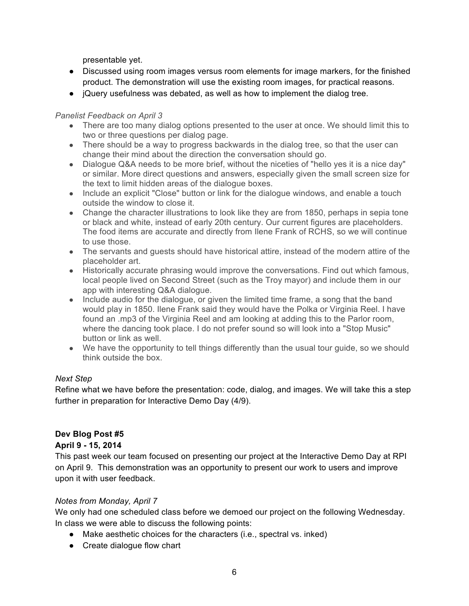presentable yet.

- Discussed using room images versus room elements for image markers, for the finished product. The demonstration will use the existing room images, for practical reasons.
- jQuery usefulness was debated, as well as how to implement the dialog tree.

#### *Panelist Feedback on April 3*

- There are too many dialog options presented to the user at once. We should limit this to two or three questions per dialog page.
- There should be a way to progress backwards in the dialog tree, so that the user can change their mind about the direction the conversation should go.
- Dialogue Q&A needs to be more brief, without the niceties of "hello yes it is a nice day" or similar. More direct questions and answers, especially given the small screen size for the text to limit hidden areas of the dialogue boxes.
- Include an explicit "Close" button or link for the dialogue windows, and enable a touch outside the window to close it.
- Change the character illustrations to look like they are from 1850, perhaps in sepia tone or black and white, instead of early 20th century. Our current figures are placeholders. The food items are accurate and directly from Ilene Frank of RCHS, so we will continue to use those.
- The servants and guests should have historical attire, instead of the modern attire of the placeholder art.
- Historically accurate phrasing would improve the conversations. Find out which famous, local people lived on Second Street (such as the Troy mayor) and include them in our app with interesting Q&A dialogue.
- Include audio for the dialogue, or given the limited time frame, a song that the band would play in 1850. Ilene Frank said they would have the Polka or Virginia Reel. I have found an .mp3 of the Virginia Reel and am looking at adding this to the Parlor room, where the dancing took place. I do not prefer sound so will look into a "Stop Music" button or link as well.
- We have the opportunity to tell things differently than the usual tour guide, so we should think outside the box.

## *Next Step*

Refine what we have before the presentation: code, dialog, and images. We will take this a step further in preparation for Interactive Demo Day (4/9).

## **Dev Blog Post #5**

## **April 9 - 15, 2014**

This past week our team focused on presenting our project at the Interactive Demo Day at RPI on April 9. This demonstration was an opportunity to present our work to users and improve upon it with user feedback.

## *Notes from Monday, April 7*

We only had one scheduled class before we demoed our project on the following Wednesday. In class we were able to discuss the following points:

- Make aesthetic choices for the characters (i.e., spectral vs. inked)
- Create dialogue flow chart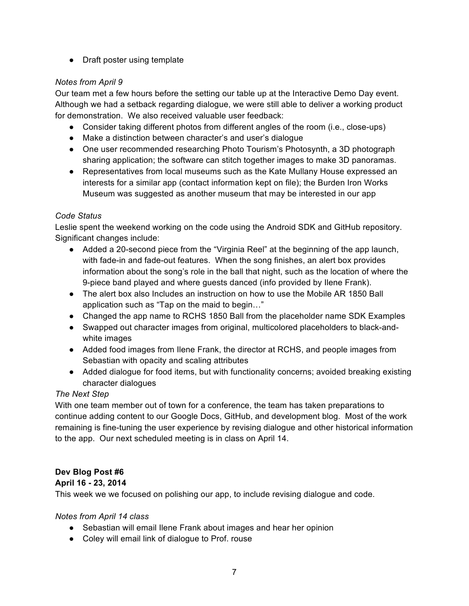• Draft poster using template

## *Notes from April 9*

Our team met a few hours before the setting our table up at the Interactive Demo Day event. Although we had a setback regarding dialogue, we were still able to deliver a working product for demonstration. We also received valuable user feedback:

- Consider taking different photos from different angles of the room (i.e., close-ups)
- Make a distinction between character's and user's dialogue
- One user recommended researching Photo Tourism's Photosynth, a 3D photograph sharing application; the software can stitch together images to make 3D panoramas.
- Representatives from local museums such as the Kate Mullany House expressed an interests for a similar app (contact information kept on file); the Burden Iron Works Museum was suggested as another museum that may be interested in our app

#### *Code Status*

Leslie spent the weekend working on the code using the Android SDK and GitHub repository. Significant changes include:

- Added a 20-second piece from the "Virginia Reel" at the beginning of the app launch, with fade-in and fade-out features. When the song finishes, an alert box provides information about the song's role in the ball that night, such as the location of where the 9-piece band played and where guests danced (info provided by Ilene Frank).
- The alert box also Includes an instruction on how to use the Mobile AR 1850 Ball application such as "Tap on the maid to begin…"
- Changed the app name to RCHS 1850 Ball from the placeholder name SDK Examples
- Swapped out character images from original, multicolored placeholders to black-andwhite images
- Added food images from Ilene Frank, the director at RCHS, and people images from Sebastian with opacity and scaling attributes
- Added dialogue for food items, but with functionality concerns; avoided breaking existing character dialogues

#### *The Next Step*

With one team member out of town for a conference, the team has taken preparations to continue adding content to our Google Docs, GitHub, and development blog. Most of the work remaining is fine-tuning the user experience by revising dialogue and other historical information to the app. Our next scheduled meeting is in class on April 14.

## **Dev Blog Post #6**

#### **April 16 - 23, 2014**

This week we we focused on polishing our app, to include revising dialogue and code.

#### *Notes from April 14 class*

- Sebastian will email Ilene Frank about images and hear her opinion
- Coley will email link of dialogue to Prof. rouse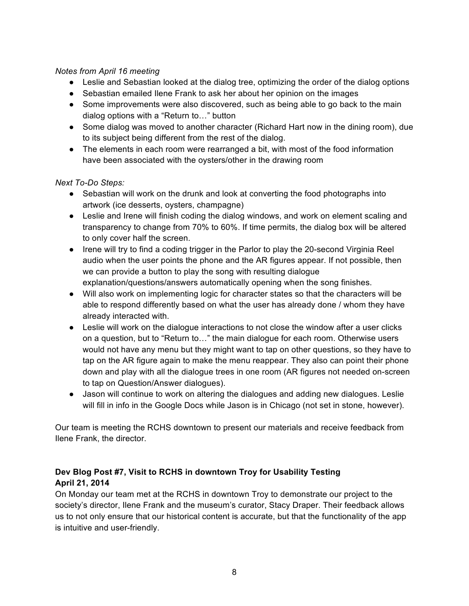#### *Notes from April 16 meeting*

- Leslie and Sebastian looked at the dialog tree, optimizing the order of the dialog options
- Sebastian emailed Ilene Frank to ask her about her opinion on the images
- Some improvements were also discovered, such as being able to go back to the main dialog options with a "Return to…" button
- Some dialog was moved to another character (Richard Hart now in the dining room), due to its subject being different from the rest of the dialog.
- The elements in each room were rearranged a bit, with most of the food information have been associated with the oysters/other in the drawing room

#### *Next To-Do Steps:*

- Sebastian will work on the drunk and look at converting the food photographs into artwork (ice desserts, oysters, champagne)
- Leslie and Irene will finish coding the dialog windows, and work on element scaling and transparency to change from 70% to 60%. If time permits, the dialog box will be altered to only cover half the screen.
- Irene will try to find a coding trigger in the Parlor to play the 20-second Virginia Reel audio when the user points the phone and the AR figures appear. If not possible, then we can provide a button to play the song with resulting dialogue explanation/questions/answers automatically opening when the song finishes.
- Will also work on implementing logic for character states so that the characters will be able to respond differently based on what the user has already done / whom they have already interacted with.
- Leslie will work on the dialogue interactions to not close the window after a user clicks on a question, but to "Return to…" the main dialogue for each room. Otherwise users would not have any menu but they might want to tap on other questions, so they have to tap on the AR figure again to make the menu reappear. They also can point their phone down and play with all the dialogue trees in one room (AR figures not needed on-screen to tap on Question/Answer dialogues).
- Jason will continue to work on altering the dialogues and adding new dialogues. Leslie will fill in info in the Google Docs while Jason is in Chicago (not set in stone, however).

Our team is meeting the RCHS downtown to present our materials and receive feedback from Ilene Frank, the director.

## **Dev Blog Post #7, Visit to RCHS in downtown Troy for Usability Testing April 21, 2014**

On Monday our team met at the RCHS in downtown Troy to demonstrate our project to the society's director, Ilene Frank and the museum's curator, Stacy Draper. Their feedback allows us to not only ensure that our historical content is accurate, but that the functionality of the app is intuitive and user-friendly.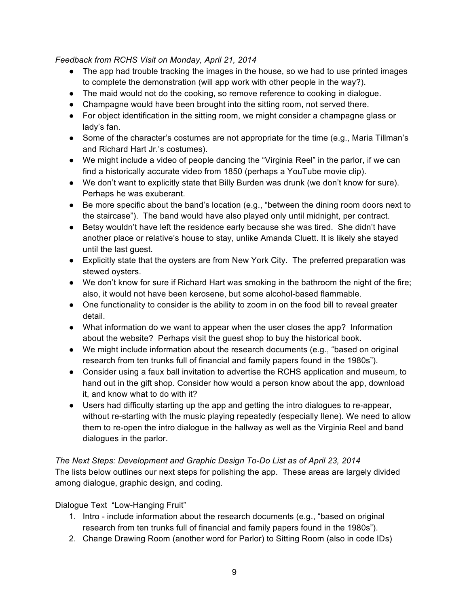## *Feedback from RCHS Visit on Monday, April 21, 2014*

- The app had trouble tracking the images in the house, so we had to use printed images to complete the demonstration (will app work with other people in the way?).
- The maid would not do the cooking, so remove reference to cooking in dialogue.
- Champagne would have been brought into the sitting room, not served there.
- For object identification in the sitting room, we might consider a champagne glass or lady's fan.
- Some of the character's costumes are not appropriate for the time (e.g., Maria Tillman's and Richard Hart Jr.'s costumes).
- We might include a video of people dancing the "Virginia Reel" in the parlor, if we can find a historically accurate video from 1850 (perhaps a YouTube movie clip).
- We don't want to explicitly state that Billy Burden was drunk (we don't know for sure). Perhaps he was exuberant.
- Be more specific about the band's location (e.g., "between the dining room doors next to the staircase"). The band would have also played only until midnight, per contract.
- Betsy wouldn't have left the residence early because she was tired. She didn't have another place or relative's house to stay, unlike Amanda Cluett. It is likely she stayed until the last guest.
- Explicitly state that the oysters are from New York City. The preferred preparation was stewed oysters.
- We don't know for sure if Richard Hart was smoking in the bathroom the night of the fire; also, it would not have been kerosene, but some alcohol-based flammable.
- One functionality to consider is the ability to zoom in on the food bill to reveal greater detail.
- What information do we want to appear when the user closes the app? Information about the website? Perhaps visit the guest shop to buy the historical book.
- We might include information about the research documents (e.g., "based on original research from ten trunks full of financial and family papers found in the 1980s").
- Consider using a faux ball invitation to advertise the RCHS application and museum, to hand out in the gift shop. Consider how would a person know about the app, download it, and know what to do with it?
- Users had difficulty starting up the app and getting the intro dialogues to re-appear, without re-starting with the music playing repeatedly (especially Ilene). We need to allow them to re-open the intro dialogue in the hallway as well as the Virginia Reel and band dialogues in the parlor.

*The Next Steps: Development and Graphic Design To-Do List as of April 23, 2014* The lists below outlines our next steps for polishing the app. These areas are largely divided among dialogue, graphic design, and coding.

# Dialogue Text "Low-Hanging Fruit"

- 1. Intro include information about the research documents (e.g., "based on original research from ten trunks full of financial and family papers found in the 1980s").
- 2. Change Drawing Room (another word for Parlor) to Sitting Room (also in code IDs)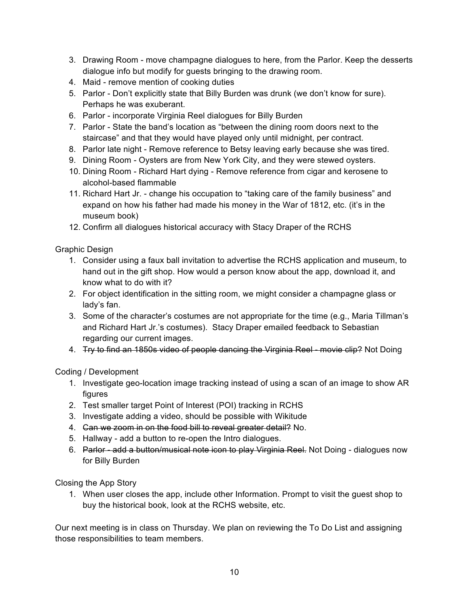- 3. Drawing Room move champagne dialogues to here, from the Parlor. Keep the desserts dialogue info but modify for guests bringing to the drawing room.
- 4. Maid remove mention of cooking duties
- 5. Parlor Don't explicitly state that Billy Burden was drunk (we don't know for sure). Perhaps he was exuberant.
- 6. Parlor incorporate Virginia Reel dialogues for Billy Burden
- 7. Parlor State the band's location as "between the dining room doors next to the staircase" and that they would have played only until midnight, per contract.
- 8. Parlor late night Remove reference to Betsy leaving early because she was tired.
- 9. Dining Room Oysters are from New York City, and they were stewed oysters.
- 10. Dining Room Richard Hart dying Remove reference from cigar and kerosene to alcohol-based flammable
- 11. Richard Hart Jr. change his occupation to "taking care of the family business" and expand on how his father had made his money in the War of 1812, etc. (it's in the museum book)
- 12. Confirm all dialogues historical accuracy with Stacy Draper of the RCHS

Graphic Design

- 1. Consider using a faux ball invitation to advertise the RCHS application and museum, to hand out in the gift shop. How would a person know about the app, download it, and know what to do with it?
- 2. For object identification in the sitting room, we might consider a champagne glass or lady's fan.
- 3. Some of the character's costumes are not appropriate for the time (e.g., Maria Tillman's and Richard Hart Jr.'s costumes). Stacy Draper emailed feedback to Sebastian regarding our current images.
- 4. Try to find an 1850s video of people dancing the Virginia Reel movie clip? Not Doing

Coding / Development

- 1. Investigate geo-location image tracking instead of using a scan of an image to show AR figures
- 2. Test smaller target Point of Interest (POI) tracking in RCHS
- 3. Investigate adding a video, should be possible with Wikitude
- 4. Gan we zoom in on the food bill to reveal greater detail? No.
- 5. Hallway add a button to re-open the Intro dialogues.
- 6. Parlor add a button/musical note icon to play Virginia Reel. Not Doing dialogues now for Billy Burden

Closing the App Story

1. When user closes the app, include other Information. Prompt to visit the guest shop to buy the historical book, look at the RCHS website, etc.

Our next meeting is in class on Thursday. We plan on reviewing the To Do List and assigning those responsibilities to team members.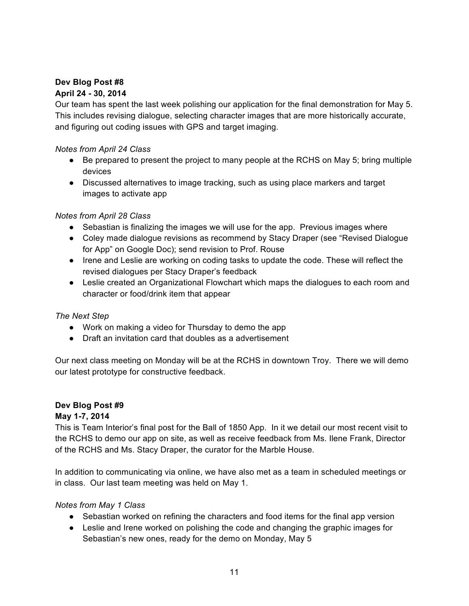# **Dev Blog Post #8**

## **April 24 - 30, 2014**

Our team has spent the last week polishing our application for the final demonstration for May 5. This includes revising dialogue, selecting character images that are more historically accurate, and figuring out coding issues with GPS and target imaging.

## *Notes from April 24 Class*

- Be prepared to present the project to many people at the RCHS on May 5; bring multiple devices
- Discussed alternatives to image tracking, such as using place markers and target images to activate app

#### *Notes from April 28 Class*

- Sebastian is finalizing the images we will use for the app. Previous images where
- Coley made dialogue revisions as recommend by Stacy Draper (see "Revised Dialogue for App" on Google Doc); send revision to Prof. Rouse
- Irene and Leslie are working on coding tasks to update the code. These will reflect the revised dialogues per Stacy Draper's feedback
- Leslie created an Organizational Flowchart which maps the dialogues to each room and character or food/drink item that appear

#### *The Next Step*

- Work on making a video for Thursday to demo the app
- Draft an invitation card that doubles as a advertisement

Our next class meeting on Monday will be at the RCHS in downtown Troy. There we will demo our latest prototype for constructive feedback.

#### **Dev Blog Post #9**

#### **May 1-7, 2014**

This is Team Interior's final post for the Ball of 1850 App. In it we detail our most recent visit to the RCHS to demo our app on site, as well as receive feedback from Ms. Ilene Frank, Director of the RCHS and Ms. Stacy Draper, the curator for the Marble House.

In addition to communicating via online, we have also met as a team in scheduled meetings or in class. Our last team meeting was held on May 1.

#### *Notes from May 1 Class*

- Sebastian worked on refining the characters and food items for the final app version
- Leslie and Irene worked on polishing the code and changing the graphic images for Sebastian's new ones, ready for the demo on Monday, May 5